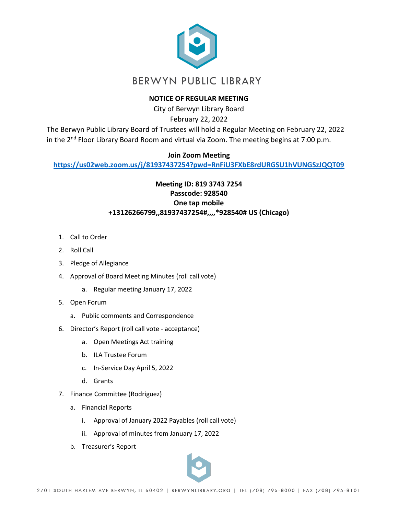

## **NOTICE OF REGULAR MEETING**

City of Berwyn Library Board February 22, 2022

The Berwyn Public Library Board of Trustees will hold a Regular Meeting on February 22, 2022 in the 2<sup>nd</sup> Floor Library Board Room and virtual via Zoom. The meeting begins at 7:00 p.m.

## **Join Zoom Meeting**

**<https://us02web.zoom.us/j/81937437254?pwd=RnFiU3FXbE8rdURGSU1hVUNGSzJQQT09>**

## **Meeting ID: 819 3743 7254 Passcode: 928540 One tap mobile +13126266799,,81937437254#,,,,\*928540# US (Chicago)**

- 1. Call to Order
- 2. Roll Call
- 3. Pledge of Allegiance
- 4. Approval of Board Meeting Minutes (roll call vote)
	- a. Regular meeting January 17, 2022
- 5. Open Forum
	- a. Public comments and Correspondence
- 6. Director's Report (roll call vote acceptance)
	- a. Open Meetings Act training
	- b. ILA Trustee Forum
	- c. In-Service Day April 5, 2022
	- d. Grants
- 7. Finance Committee (Rodriguez)
	- a. Financial Reports
		- i. Approval of January 2022 Payables (roll call vote)
		- ii. Approval of minutes from January 17, 2022
	- b. Treasurer's Report

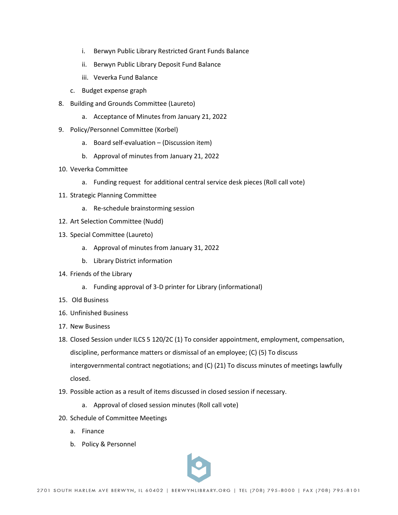- i. Berwyn Public Library Restricted Grant Funds Balance
- ii. Berwyn Public Library Deposit Fund Balance
- iii. Veverka Fund Balance
- c. Budget expense graph
- 8. Building and Grounds Committee (Laureto)
	- a. Acceptance of Minutes from January 21, 2022
- 9. Policy/Personnel Committee (Korbel)
	- a. Board self-evaluation (Discussion item)
	- b. Approval of minutes from January 21, 2022
- 10. Veverka Committee
	- a. Funding request for additional central service desk pieces (Roll call vote)
- 11. Strategic Planning Committee
	- a. Re-schedule brainstorming session
- 12. Art Selection Committee (Nudd)
- 13. Special Committee (Laureto)
	- a. Approval of minutes from January 31, 2022
	- b. Library District information
- 14. Friends of the Library
	- a. Funding approval of 3-D printer for Library (informational)
- 15. Old Business
- 16. Unfinished Business
- 17. New Business
- 18. Closed Session under ILCS 5 120/2C (1) To consider appointment, employment, compensation, discipline, performance matters or dismissal of an employee; (C) (5) To discuss intergovernmental contract negotiations; and (C) (21) To discuss minutes of meetings lawfully closed.
- 19. Possible action as a result of items discussed in closed session if necessary.
	- a. Approval of closed session minutes (Roll call vote)
- 20. Schedule of Committee Meetings
	- a. Finance
	- b. Policy & Personnel